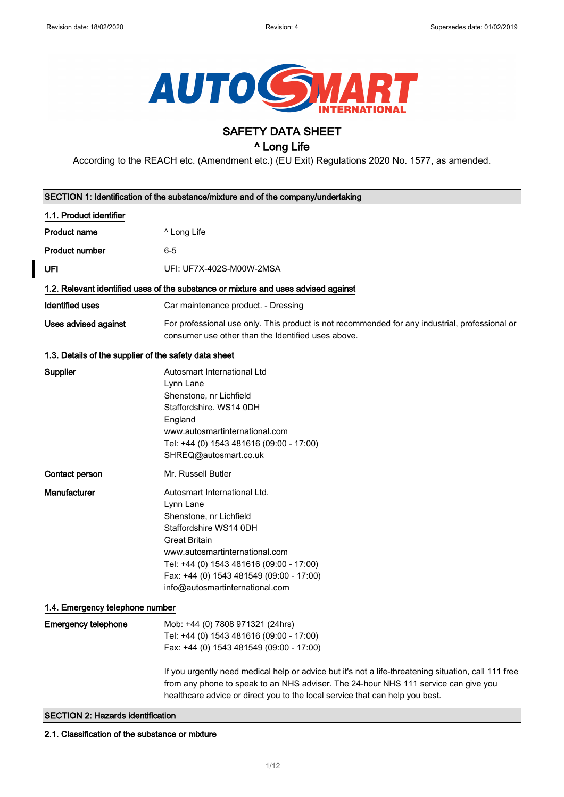

# SAFETY DATA SHEET

# ^ Long Life

According to the REACH etc. (Amendment etc.) (EU Exit) Regulations 2020 No. 1577, as amended.

|                                                       | SECTION 1: Identification of the substance/mixture and of the company/undertaking                                                                                                                                                                                                   |
|-------------------------------------------------------|-------------------------------------------------------------------------------------------------------------------------------------------------------------------------------------------------------------------------------------------------------------------------------------|
| 1.1. Product identifier                               |                                                                                                                                                                                                                                                                                     |
| <b>Product name</b>                                   | ^ Long Life                                                                                                                                                                                                                                                                         |
| <b>Product number</b>                                 | $6 - 5$                                                                                                                                                                                                                                                                             |
| UFI                                                   | UFI: UF7X-402S-M00W-2MSA                                                                                                                                                                                                                                                            |
|                                                       | 1.2. Relevant identified uses of the substance or mixture and uses advised against                                                                                                                                                                                                  |
| <b>Identified uses</b>                                | Car maintenance product. - Dressing                                                                                                                                                                                                                                                 |
| <b>Uses advised against</b>                           | For professional use only. This product is not recommended for any industrial, professional or<br>consumer use other than the Identified uses above.                                                                                                                                |
| 1.3. Details of the supplier of the safety data sheet |                                                                                                                                                                                                                                                                                     |
| Supplier                                              | Autosmart International Ltd<br>Lynn Lane<br>Shenstone, nr Lichfield<br>Staffordshire, WS14 0DH<br>England<br>www.autosmartinternational.com<br>Tel: +44 (0) 1543 481616 (09:00 - 17:00)<br>SHREQ@autosmart.co.uk                                                                    |
| Contact person                                        | Mr. Russell Butler                                                                                                                                                                                                                                                                  |
| Manufacturer                                          | Autosmart International Ltd.<br>Lynn Lane<br>Shenstone, nr Lichfield<br>Staffordshire WS14 0DH<br><b>Great Britain</b><br>www.autosmartinternational.com<br>Tel: +44 (0) 1543 481616 (09:00 - 17:00)<br>Fax: +44 (0) 1543 481549 (09:00 - 17:00)<br>info@autosmartinternational.com |
| 1.4. Emergency telephone number                       |                                                                                                                                                                                                                                                                                     |
| <b>Emergency telephone</b>                            | Mob: +44 (0) 7808 971321 (24hrs)<br>Tel: +44 (0) 1543 481616 (09:00 - 17:00)<br>Fax: +44 (0) 1543 481549 (09:00 - 17:00)                                                                                                                                                            |
|                                                       | If you urgently need medical help or advice but it's not a life-threatening situation, call 111 free<br>from any phone to speak to an NHS adviser. The 24-hour NHS 111 service can give you<br>healthcare advice or direct you to the local service that can help you best.         |
| <b>SECTION 2: Hazards identification</b>              |                                                                                                                                                                                                                                                                                     |

2.1. Classification of the substance or mixture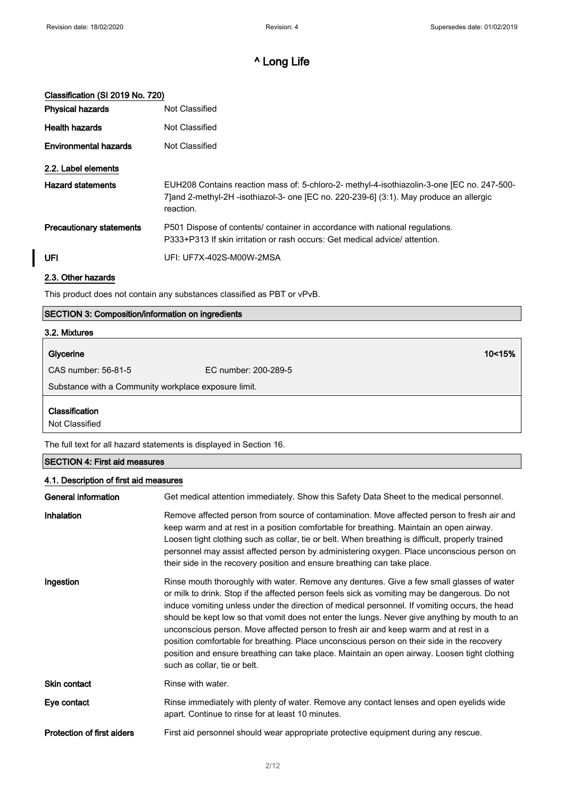# Classification (SI 2019 No. 720)

| <b>Physical hazards</b>         | Not Classified                                                                                                                                                                                     |
|---------------------------------|----------------------------------------------------------------------------------------------------------------------------------------------------------------------------------------------------|
| <b>Health hazards</b>           | Not Classified                                                                                                                                                                                     |
| <b>Environmental hazards</b>    | Not Classified                                                                                                                                                                                     |
| 2.2. Label elements             |                                                                                                                                                                                                    |
| <b>Hazard statements</b>        | EUH208 Contains reaction mass of: 5-chloro-2- methyl-4-isothiazolin-3-one [EC no. 247-500-<br>7] and 2-methyl-2H -isothiazol-3- one [EC no. 220-239-6] (3:1). May produce an allergic<br>reaction. |
| <b>Precautionary statements</b> | P501 Dispose of contents/ container in accordance with national regulations.<br>P333+P313 If skin irritation or rash occurs: Get medical advice/attention.                                         |
| <b>UFI</b>                      | UFI: UF7X-402S-M00W-2MSA                                                                                                                                                                           |
| 2.3. Other hazards              |                                                                                                                                                                                                    |

This product does not contain any substances classified as PBT or vPvB.

#### SECTION 3: Composition/information on ingredients

# 3.2. Mixtures Glycerine 10<15% CAS number: 56-81-5 EC number: 200-289-5 Substance with a Community workplace exposure limit. Classification

Not Classified

The full text for all hazard statements is displayed in Section 16.

# SECTION 4: First aid measures 4.1. Description of first aid measures General information Get medical attention immediately. Show this Safety Data Sheet to the medical personnel. Inhalation **Remove affected person from source of contamination**. Move affected person to fresh air and keep warm and at rest in a position comfortable for breathing. Maintain an open airway. Loosen tight clothing such as collar, tie or belt. When breathing is difficult, properly trained personnel may assist affected person by administering oxygen. Place unconscious person on their side in the recovery position and ensure breathing can take place. Ingestion **Rinse mouth thoroughly with water. Remove any dentures. Give a few small glasses of water** or milk to drink. Stop if the affected person feels sick as vomiting may be dangerous. Do not induce vomiting unless under the direction of medical personnel. If vomiting occurs, the head should be kept low so that vomit does not enter the lungs. Never give anything by mouth to an unconscious person. Move affected person to fresh air and keep warm and at rest in a position comfortable for breathing. Place unconscious person on their side in the recovery position and ensure breathing can take place. Maintain an open airway. Loosen tight clothing such as collar, tie or belt. Skin contact Rinse with water.

Eye contact **Rinse immediately with plenty of water.** Remove any contact lenses and open eyelids wide apart. Continue to rinse for at least 10 minutes.

Protection of first aiders First aid personnel should wear appropriate protective equipment during any rescue.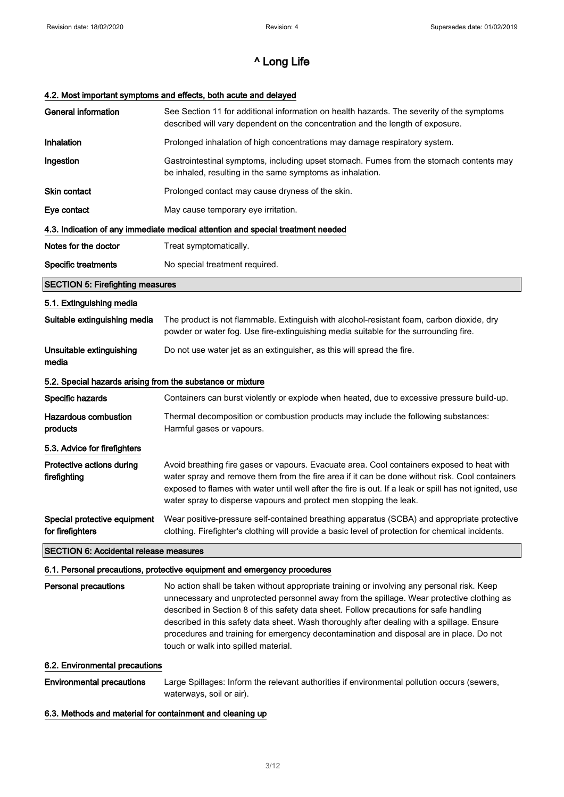#### 4.2. Most important symptoms and effects, both acute and delayed

| <b>General information</b>                                 | See Section 11 for additional information on health hazards. The severity of the symptoms<br>described will vary dependent on the concentration and the length of exposure.                                                                                                                                                                                                  |  |
|------------------------------------------------------------|------------------------------------------------------------------------------------------------------------------------------------------------------------------------------------------------------------------------------------------------------------------------------------------------------------------------------------------------------------------------------|--|
| <b>Inhalation</b>                                          | Prolonged inhalation of high concentrations may damage respiratory system.                                                                                                                                                                                                                                                                                                   |  |
| Ingestion                                                  | Gastrointestinal symptoms, including upset stomach. Fumes from the stomach contents may<br>be inhaled, resulting in the same symptoms as inhalation.                                                                                                                                                                                                                         |  |
| <b>Skin contact</b>                                        | Prolonged contact may cause dryness of the skin.                                                                                                                                                                                                                                                                                                                             |  |
| Eye contact                                                | May cause temporary eye irritation.                                                                                                                                                                                                                                                                                                                                          |  |
|                                                            | 4.3. Indication of any immediate medical attention and special treatment needed                                                                                                                                                                                                                                                                                              |  |
| Notes for the doctor                                       | Treat symptomatically.                                                                                                                                                                                                                                                                                                                                                       |  |
| Specific treatments                                        | No special treatment required.                                                                                                                                                                                                                                                                                                                                               |  |
| <b>SECTION 5: Firefighting measures</b>                    |                                                                                                                                                                                                                                                                                                                                                                              |  |
| 5.1. Extinguishing media                                   |                                                                                                                                                                                                                                                                                                                                                                              |  |
| Suitable extinguishing media                               | The product is not flammable. Extinguish with alcohol-resistant foam, carbon dioxide, dry<br>powder or water fog. Use fire-extinguishing media suitable for the surrounding fire.                                                                                                                                                                                            |  |
| Unsuitable extinguishing<br>media                          | Do not use water jet as an extinguisher, as this will spread the fire.                                                                                                                                                                                                                                                                                                       |  |
| 5.2. Special hazards arising from the substance or mixture |                                                                                                                                                                                                                                                                                                                                                                              |  |
| Specific hazards                                           | Containers can burst violently or explode when heated, due to excessive pressure build-up.                                                                                                                                                                                                                                                                                   |  |
| <b>Hazardous combustion</b><br>products                    | Thermal decomposition or combustion products may include the following substances:<br>Harmful gases or vapours.                                                                                                                                                                                                                                                              |  |
| 5.3. Advice for firefighters                               |                                                                                                                                                                                                                                                                                                                                                                              |  |
| Protective actions during<br>firefighting                  | Avoid breathing fire gases or vapours. Evacuate area. Cool containers exposed to heat with<br>water spray and remove them from the fire area if it can be done without risk. Cool containers<br>exposed to flames with water until well after the fire is out. If a leak or spill has not ignited, use<br>water spray to disperse vapours and protect men stopping the leak. |  |
| Special protective equipment<br>for firefighters           | Wear positive-pressure self-contained breathing apparatus (SCBA) and appropriate protective<br>clothing. Firefighter's clothing will provide a basic level of protection for chemical incidents.                                                                                                                                                                             |  |
| <b>SECTION 6: Accidental release measures</b>              |                                                                                                                                                                                                                                                                                                                                                                              |  |
|                                                            | 6.1. Personal precautions, protective equipment and emergency procedures                                                                                                                                                                                                                                                                                                     |  |
| <b>Personal precautions</b>                                | No action shall be taken without appropriate training or involving any personal risk. Keep                                                                                                                                                                                                                                                                                   |  |

unnecessary and unprotected personnel away from the spillage. Wear protective clothing as described in Section 8 of this safety data sheet. Follow precautions for safe handling described in this safety data sheet. Wash thoroughly after dealing with a spillage. Ensure procedures and training for emergency decontamination and disposal are in place. Do not touch or walk into spilled material.

#### 6.2. Environmental precautions

Environmental precautions Large Spillages: Inform the relevant authorities if environmental pollution occurs (sewers, waterways, soil or air).

#### 6.3. Methods and material for containment and cleaning up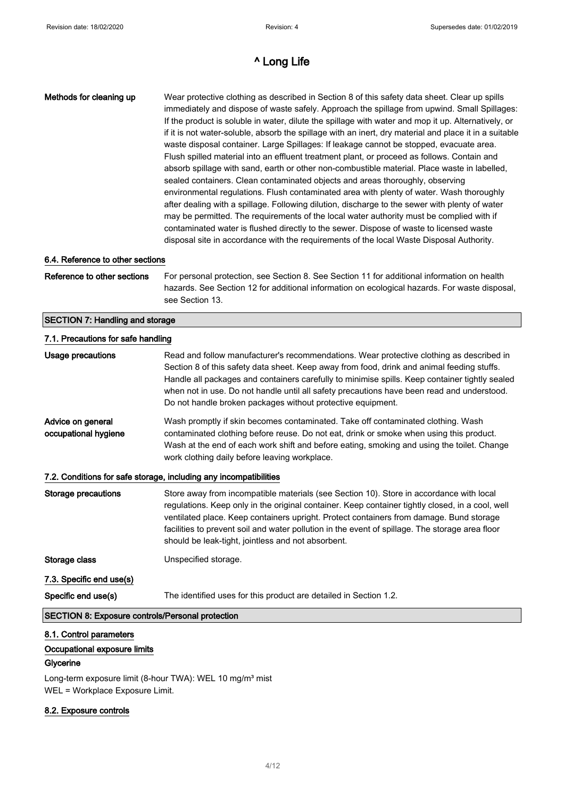| Methods for cleaning up                                 | Wear protective clothing as described in Section 8 of this safety data sheet. Clear up spills<br>immediately and dispose of waste safely. Approach the spillage from upwind. Small Spillages:<br>If the product is soluble in water, dilute the spillage with water and mop it up. Alternatively, or<br>if it is not water-soluble, absorb the spillage with an inert, dry material and place it in a suitable<br>waste disposal container. Large Spillages: If leakage cannot be stopped, evacuate area.<br>Flush spilled material into an effluent treatment plant, or proceed as follows. Contain and<br>absorb spillage with sand, earth or other non-combustible material. Place waste in labelled,<br>sealed containers. Clean contaminated objects and areas thoroughly, observing<br>environmental regulations. Flush contaminated area with plenty of water. Wash thoroughly<br>after dealing with a spillage. Following dilution, discharge to the sewer with plenty of water<br>may be permitted. The requirements of the local water authority must be complied with if<br>contaminated water is flushed directly to the sewer. Dispose of waste to licensed waste<br>disposal site in accordance with the requirements of the local Waste Disposal Authority. |
|---------------------------------------------------------|----------------------------------------------------------------------------------------------------------------------------------------------------------------------------------------------------------------------------------------------------------------------------------------------------------------------------------------------------------------------------------------------------------------------------------------------------------------------------------------------------------------------------------------------------------------------------------------------------------------------------------------------------------------------------------------------------------------------------------------------------------------------------------------------------------------------------------------------------------------------------------------------------------------------------------------------------------------------------------------------------------------------------------------------------------------------------------------------------------------------------------------------------------------------------------------------------------------------------------------------------------------------------|
| 6.4. Reference to other sections                        |                                                                                                                                                                                                                                                                                                                                                                                                                                                                                                                                                                                                                                                                                                                                                                                                                                                                                                                                                                                                                                                                                                                                                                                                                                                                            |
| Reference to other sections                             | For personal protection, see Section 8. See Section 11 for additional information on health<br>hazards. See Section 12 for additional information on ecological hazards. For waste disposal,<br>see Section 13.                                                                                                                                                                                                                                                                                                                                                                                                                                                                                                                                                                                                                                                                                                                                                                                                                                                                                                                                                                                                                                                            |
| <b>SECTION 7: Handling and storage</b>                  |                                                                                                                                                                                                                                                                                                                                                                                                                                                                                                                                                                                                                                                                                                                                                                                                                                                                                                                                                                                                                                                                                                                                                                                                                                                                            |
| 7.1. Precautions for safe handling                      |                                                                                                                                                                                                                                                                                                                                                                                                                                                                                                                                                                                                                                                                                                                                                                                                                                                                                                                                                                                                                                                                                                                                                                                                                                                                            |
| <b>Usage precautions</b>                                | Read and follow manufacturer's recommendations. Wear protective clothing as described in<br>Section 8 of this safety data sheet. Keep away from food, drink and animal feeding stuffs.<br>Handle all packages and containers carefully to minimise spills. Keep container tightly sealed<br>when not in use. Do not handle until all safety precautions have been read and understood.<br>Do not handle broken packages without protective equipment.                                                                                                                                                                                                                                                                                                                                                                                                                                                                                                                                                                                                                                                                                                                                                                                                                      |
| Advice on general<br>occupational hygiene               | Wash promptly if skin becomes contaminated. Take off contaminated clothing. Wash<br>contaminated clothing before reuse. Do not eat, drink or smoke when using this product.<br>Wash at the end of each work shift and before eating, smoking and using the toilet. Change<br>work clothing daily before leaving workplace.                                                                                                                                                                                                                                                                                                                                                                                                                                                                                                                                                                                                                                                                                                                                                                                                                                                                                                                                                 |
|                                                         | 7.2. Conditions for safe storage, including any incompatibilities                                                                                                                                                                                                                                                                                                                                                                                                                                                                                                                                                                                                                                                                                                                                                                                                                                                                                                                                                                                                                                                                                                                                                                                                          |
| <b>Storage precautions</b>                              | Store away from incompatible materials (see Section 10). Store in accordance with local<br>regulations. Keep only in the original container. Keep container tightly closed, in a cool, well<br>ventilated place. Keep containers upright. Protect containers from damage. Bund storage<br>facilities to prevent soil and water pollution in the event of spillage. The storage area floor<br>should be leak-tight, jointless and not absorbent.                                                                                                                                                                                                                                                                                                                                                                                                                                                                                                                                                                                                                                                                                                                                                                                                                            |
| Storage class                                           | Unspecified storage.                                                                                                                                                                                                                                                                                                                                                                                                                                                                                                                                                                                                                                                                                                                                                                                                                                                                                                                                                                                                                                                                                                                                                                                                                                                       |
| 7.3. Specific end use(s)                                |                                                                                                                                                                                                                                                                                                                                                                                                                                                                                                                                                                                                                                                                                                                                                                                                                                                                                                                                                                                                                                                                                                                                                                                                                                                                            |
| Specific end use(s)                                     | The identified uses for this product are detailed in Section 1.2.                                                                                                                                                                                                                                                                                                                                                                                                                                                                                                                                                                                                                                                                                                                                                                                                                                                                                                                                                                                                                                                                                                                                                                                                          |
| <b>SECTION 8: Exposure controls/Personal protection</b> |                                                                                                                                                                                                                                                                                                                                                                                                                                                                                                                                                                                                                                                                                                                                                                                                                                                                                                                                                                                                                                                                                                                                                                                                                                                                            |
| 8.1. Control parameters<br>Occupational exposure limits |                                                                                                                                                                                                                                                                                                                                                                                                                                                                                                                                                                                                                                                                                                                                                                                                                                                                                                                                                                                                                                                                                                                                                                                                                                                                            |

#### Glycerine

Long-term exposure limit (8-hour TWA): WEL 10 mg/m<sup>3</sup> mist WEL = Workplace Exposure Limit.

## 8.2. Exposure controls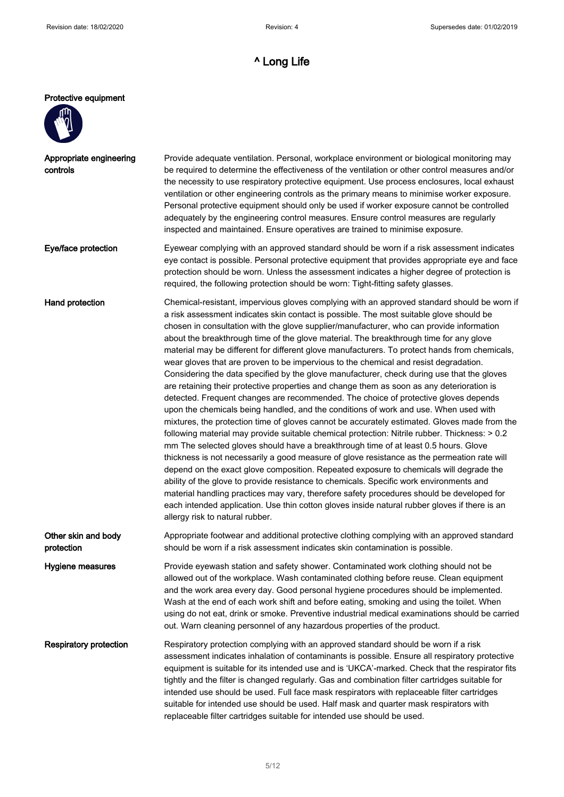#### Protective equipment



controls

Appropriate engineering Provide adequate ventilation. Personal, workplace environment or biological monitoring may be required to determine the effectiveness of the ventilation or other control measures and/or the necessity to use respiratory protective equipment. Use process enclosures, local exhaust ventilation or other engineering controls as the primary means to minimise worker exposure. Personal protective equipment should only be used if worker exposure cannot be controlled adequately by the engineering control measures. Ensure control measures are regularly inspected and maintained. Ensure operatives are trained to minimise exposure.

Eye/face protection Eyewear complying with an approved standard should be worn if a risk assessment indicates eye contact is possible. Personal protective equipment that provides appropriate eye and face protection should be worn. Unless the assessment indicates a higher degree of protection is required, the following protection should be worn: Tight-fitting safety glasses.

Hand protection **Chemical-resistant, impervious gloves complying with an approved standard should be worn if** a risk assessment indicates skin contact is possible. The most suitable glove should be chosen in consultation with the glove supplier/manufacturer, who can provide information about the breakthrough time of the glove material. The breakthrough time for any glove material may be different for different glove manufacturers. To protect hands from chemicals, wear gloves that are proven to be impervious to the chemical and resist degradation. Considering the data specified by the glove manufacturer, check during use that the gloves are retaining their protective properties and change them as soon as any deterioration is detected. Frequent changes are recommended. The choice of protective gloves depends upon the chemicals being handled, and the conditions of work and use. When used with mixtures, the protection time of gloves cannot be accurately estimated. Gloves made from the following material may provide suitable chemical protection: Nitrile rubber. Thickness: > 0.2 mm The selected gloves should have a breakthrough time of at least 0.5 hours. Glove thickness is not necessarily a good measure of glove resistance as the permeation rate will depend on the exact glove composition. Repeated exposure to chemicals will degrade the ability of the glove to provide resistance to chemicals. Specific work environments and material handling practices may vary, therefore safety procedures should be developed for each intended application. Use thin cotton gloves inside natural rubber gloves if there is an allergy risk to natural rubber.

Other skin and body protection Appropriate footwear and additional protective clothing complying with an approved standard should be worn if a risk assessment indicates skin contamination is possible.

Hygiene measures **Provide eyewash station and safety shower**. Contaminated work clothing should not be allowed out of the workplace. Wash contaminated clothing before reuse. Clean equipment and the work area every day. Good personal hygiene procedures should be implemented. Wash at the end of each work shift and before eating, smoking and using the toilet. When using do not eat, drink or smoke. Preventive industrial medical examinations should be carried out. Warn cleaning personnel of any hazardous properties of the product.

Respiratory protection Respiratory protection complying with an approved standard should be worn if a risk assessment indicates inhalation of contaminants is possible. Ensure all respiratory protective equipment is suitable for its intended use and is 'UKCA'-marked. Check that the respirator fits tightly and the filter is changed regularly. Gas and combination filter cartridges suitable for intended use should be used. Full face mask respirators with replaceable filter cartridges suitable for intended use should be used. Half mask and quarter mask respirators with replaceable filter cartridges suitable for intended use should be used.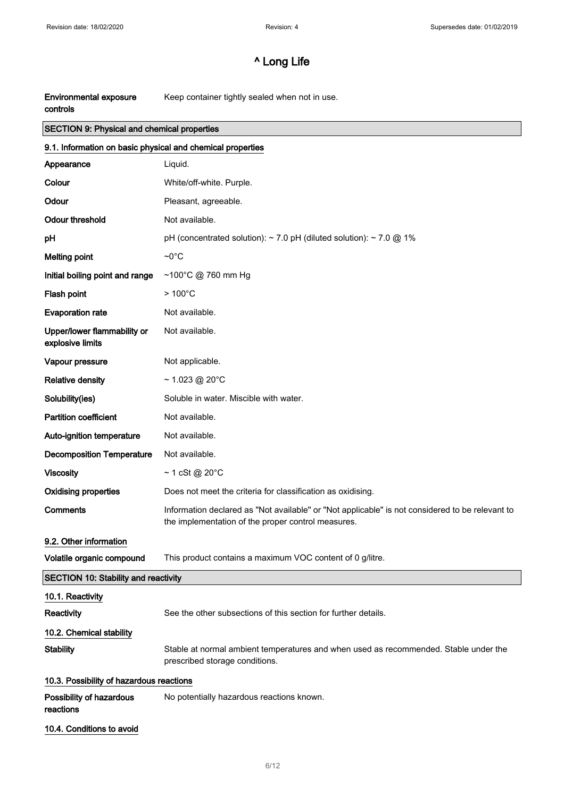| <b>Environmental exposure</b> | Keep container tightly sealed when not in use. |
|-------------------------------|------------------------------------------------|
| controls                      |                                                |

# SECTION 9: Physical and chemical properties

| 9.1. Information on basic physical and chemical properties |                                                                                                                                                       |
|------------------------------------------------------------|-------------------------------------------------------------------------------------------------------------------------------------------------------|
| Appearance                                                 | Liquid.                                                                                                                                               |
| Colour                                                     | White/off-white. Purple.                                                                                                                              |
| Odour                                                      | Pleasant, agreeable.                                                                                                                                  |
| <b>Odour threshold</b>                                     | Not available.                                                                                                                                        |
| pH                                                         | pH (concentrated solution): $\sim$ 7.0 pH (diluted solution): $\sim$ 7.0 @ 1%                                                                         |
| <b>Melting point</b>                                       | $\sim 0^{\circ}C$                                                                                                                                     |
| Initial boiling point and range                            | ~100°C @ 760 mm Hg                                                                                                                                    |
| Flash point                                                | $>100^{\circ}$ C                                                                                                                                      |
| <b>Evaporation rate</b>                                    | Not available.                                                                                                                                        |
| Upper/lower flammability or<br>explosive limits            | Not available.                                                                                                                                        |
| Vapour pressure                                            | Not applicable.                                                                                                                                       |
| <b>Relative density</b>                                    | $\sim$ 1.023 @ 20 $^{\circ}$ C                                                                                                                        |
| Solubility(ies)                                            | Soluble in water. Miscible with water.                                                                                                                |
| <b>Partition coefficient</b>                               | Not available.                                                                                                                                        |
| Auto-ignition temperature                                  | Not available.                                                                                                                                        |
| <b>Decomposition Temperature</b>                           | Not available.                                                                                                                                        |
| <b>Viscosity</b>                                           | $\sim$ 1 cSt @ 20 $^{\circ}$ C                                                                                                                        |
| <b>Oxidising properties</b>                                | Does not meet the criteria for classification as oxidising.                                                                                           |
| <b>Comments</b>                                            | Information declared as "Not available" or "Not applicable" is not considered to be relevant to<br>the implementation of the proper control measures. |
| 9.2. Other information                                     |                                                                                                                                                       |
| Volatile organic compound                                  | This product contains a maximum VOC content of 0 g/litre.                                                                                             |
| <b>SECTION 10: Stability and reactivity</b>                |                                                                                                                                                       |
| 10.1. Reactivity                                           |                                                                                                                                                       |
| Reactivity                                                 | See the other subsections of this section for further details.                                                                                        |
| 10.2. Chemical stability                                   |                                                                                                                                                       |
| <b>Stability</b>                                           | Stable at normal ambient temperatures and when used as recommended. Stable under the<br>prescribed storage conditions.                                |
| 10.3. Possibility of hazardous reactions                   |                                                                                                                                                       |
| Possibility of hazardous<br>reactions                      | No potentially hazardous reactions known.                                                                                                             |
| 10.4. Conditions to avoid                                  |                                                                                                                                                       |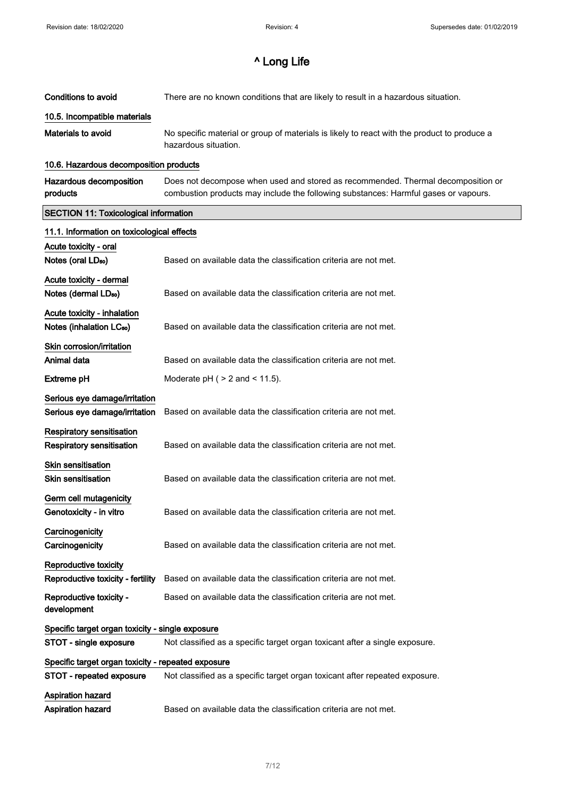$\hat{\mathcal{A}}$ 

# ^ Long Life

| <b>Conditions to avoid</b>                                           | There are no known conditions that are likely to result in a hazardous situation.                                                                                       |
|----------------------------------------------------------------------|-------------------------------------------------------------------------------------------------------------------------------------------------------------------------|
| 10.5. Incompatible materials                                         |                                                                                                                                                                         |
| <b>Materials to avoid</b>                                            | No specific material or group of materials is likely to react with the product to produce a<br>hazardous situation.                                                     |
| 10.6. Hazardous decomposition products                               |                                                                                                                                                                         |
| Hazardous decomposition<br>products                                  | Does not decompose when used and stored as recommended. Thermal decomposition or<br>combustion products may include the following substances: Harmful gases or vapours. |
| <b>SECTION 11: Toxicological information</b>                         |                                                                                                                                                                         |
| 11.1. Information on toxicological effects                           |                                                                                                                                                                         |
| Acute toxicity - oral<br>Notes (oral LD <sub>50</sub> )              | Based on available data the classification criteria are not met.                                                                                                        |
|                                                                      |                                                                                                                                                                         |
| Acute toxicity - dermal<br>Notes (dermal LD <sub>50</sub> )          | Based on available data the classification criteria are not met.                                                                                                        |
| Acute toxicity - inhalation                                          |                                                                                                                                                                         |
| Notes (inhalation LC <sub>50</sub> )                                 | Based on available data the classification criteria are not met.                                                                                                        |
| Skin corrosion/irritation                                            |                                                                                                                                                                         |
| Animal data                                                          | Based on available data the classification criteria are not met.                                                                                                        |
| <b>Extreme pH</b>                                                    | Moderate $pH$ ( $> 2$ and $< 11.5$ ).                                                                                                                                   |
| Serious eye damage/irritation                                        |                                                                                                                                                                         |
| Serious eye damage/irritation                                        | Based on available data the classification criteria are not met.                                                                                                        |
| <b>Respiratory sensitisation</b><br><b>Respiratory sensitisation</b> | Based on available data the classification criteria are not met.                                                                                                        |
| <b>Skin sensitisation</b>                                            |                                                                                                                                                                         |
| <b>Skin sensitisation</b>                                            | Based on available data the classification criteria are not met.                                                                                                        |
| Germ cell mutagenicity                                               |                                                                                                                                                                         |
| Genotoxicity - in vitro                                              | Based on available data the classification criteria are not met.                                                                                                        |
| Carcinogenicity                                                      |                                                                                                                                                                         |
| Carcinogenicity                                                      | Based on available data the classification criteria are not met.                                                                                                        |
| <b>Reproductive toxicity</b>                                         |                                                                                                                                                                         |
| Reproductive toxicity - fertility                                    | Based on available data the classification criteria are not met.                                                                                                        |
| Reproductive toxicity -<br>development                               | Based on available data the classification criteria are not met.                                                                                                        |
| Specific target organ toxicity - single exposure                     |                                                                                                                                                                         |
| STOT - single exposure                                               | Not classified as a specific target organ toxicant after a single exposure.                                                                                             |
| Specific target organ toxicity - repeated exposure                   |                                                                                                                                                                         |
| STOT - repeated exposure                                             | Not classified as a specific target organ toxicant after repeated exposure.                                                                                             |
| <b>Aspiration hazard</b><br>Aspiration hazard                        | Based on available data the classification criteria are not met.                                                                                                        |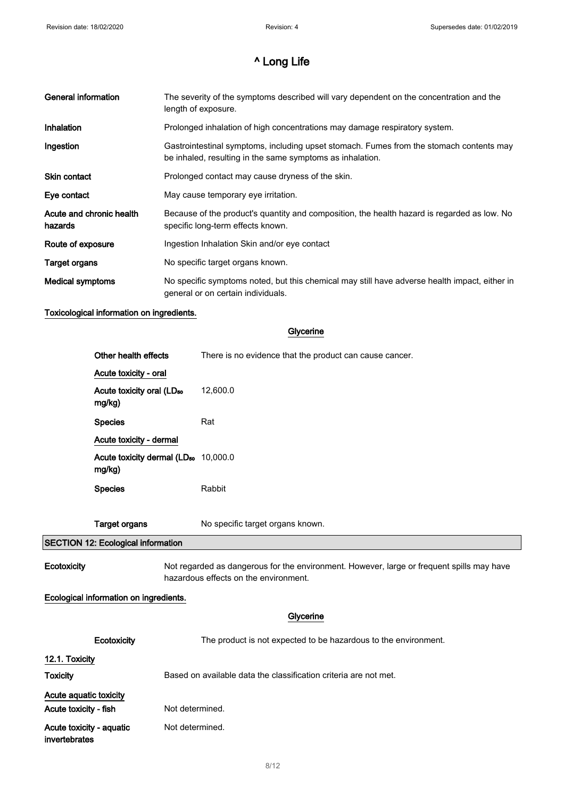| <b>General information</b>          | The severity of the symptoms described will vary dependent on the concentration and the<br>length of exposure.                                       |
|-------------------------------------|------------------------------------------------------------------------------------------------------------------------------------------------------|
| Inhalation                          | Prolonged inhalation of high concentrations may damage respiratory system.                                                                           |
| Ingestion                           | Gastrointestinal symptoms, including upset stomach. Fumes from the stomach contents may<br>be inhaled, resulting in the same symptoms as inhalation. |
| <b>Skin contact</b>                 | Prolonged contact may cause dryness of the skin.                                                                                                     |
| Eye contact                         | May cause temporary eye irritation.                                                                                                                  |
| Acute and chronic health<br>hazards | Because of the product's quantity and composition, the health hazard is regarded as low. No<br>specific long-term effects known.                     |
| Route of exposure                   | Ingestion Inhalation Skin and/or eye contact                                                                                                         |
| Target organs                       | No specific target organs known.                                                                                                                     |
| Medical symptoms                    | No specific symptoms noted, but this chemical may still have adverse health impact, either in<br>general or on certain individuals.                  |

## Toxicological information on ingredients.

## Glycerine

|                        | Other health effects                                       | There is no evidence that the product can cause cancer.                                                                            |
|------------------------|------------------------------------------------------------|------------------------------------------------------------------------------------------------------------------------------------|
|                        | Acute toxicity - oral                                      |                                                                                                                                    |
|                        | Acute toxicity oral (LD <sub>50</sub><br>mg/kg)            | 12,600.0                                                                                                                           |
|                        | <b>Species</b>                                             | Rat                                                                                                                                |
|                        | Acute toxicity - dermal                                    |                                                                                                                                    |
|                        | Acute toxicity dermal (LD <sub>50</sub> 10,000.0<br>mg/kg) |                                                                                                                                    |
|                        | <b>Species</b>                                             | Rabbit                                                                                                                             |
|                        |                                                            |                                                                                                                                    |
|                        | <b>Target organs</b>                                       | No specific target organs known.                                                                                                   |
|                        | SECTION 12: Ecological information                         |                                                                                                                                    |
| Ecotoxicity            |                                                            | Not regarded as dangerous for the environment. However, large or frequent spills may have<br>hazardous effects on the environment. |
|                        | Ecological information on ingredients.                     |                                                                                                                                    |
|                        |                                                            | Glycerine                                                                                                                          |
|                        | Ecotoxicity                                                | The product is not expected to be hazardous to the environment.                                                                    |
| 12.1. Toxicity         |                                                            |                                                                                                                                    |
| <b>Toxicity</b>        |                                                            | Based on available data the classification criteria are not met.                                                                   |
| Acute aquatic toxicity |                                                            |                                                                                                                                    |

Acute toxicity - fish Not determined. Acute toxicity - aquatic Not determined.

invertebrates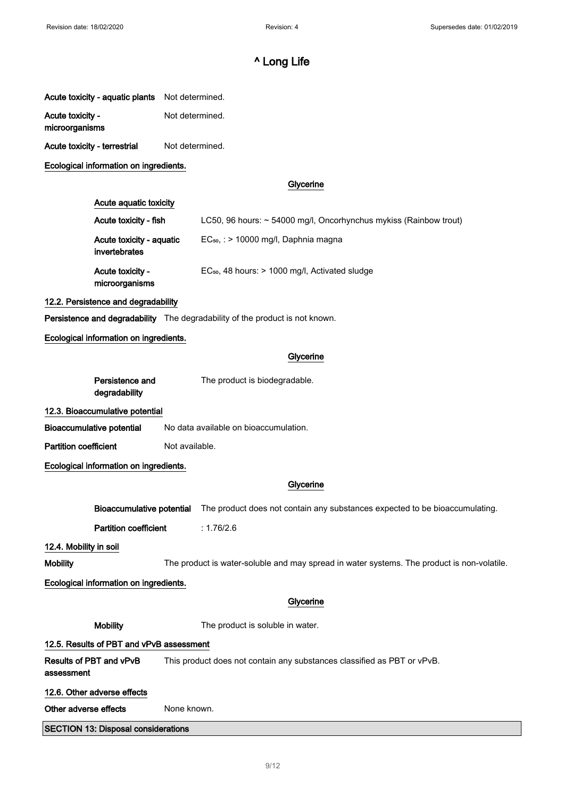| Acute toxicity - aquatic plants | Not determined. |
|---------------------------------|-----------------|
|                                 |                 |

Acute toxicity - Not determined.

microorganisms

Acute toxicity - terrestrial Not determined.

## Ecological information on ingredients.

## **Glycerine**

## Acute aquatic toxicity

| Acute toxicity - fish                     | LC50, 96 hours: $\sim$ 54000 mg/l, Oncorhynchus mykiss (Rainbow trout) |
|-------------------------------------------|------------------------------------------------------------------------|
| Acute toxicity - aquatic<br>invertebrates | $EC_{50}$ , : > 10000 mg/l, Daphnia magna                              |
| Acute toxicity -<br>microorganisms        | $EC_{50}$ , 48 hours: $> 1000$ mg/l, Activated sludge                  |

#### 12.2. Persistence and degradability

Persistence and degradability The degradability of the product is not known.

#### Ecological information on ingredients.

## Glycerine

Persistence and degradability The product is biodegradable.

## 12.3. Bioaccumulative potential

 $\overline{\phantom{a}}$ 

Bioaccumulative potential No data available on bioaccumulation.

Partition coefficient Not available.

## Ecological information on ingredients.

|                                        |                                            | Glycerine                                                                                  |  |
|----------------------------------------|--------------------------------------------|--------------------------------------------------------------------------------------------|--|
|                                        | Bioaccumulative potential                  | The product does not contain any substances expected to be bioaccumulating.                |  |
|                                        | <b>Partition coefficient</b>               | : $1.76/2.6$                                                                               |  |
| 12.4. Mobility in soil                 |                                            |                                                                                            |  |
| Mobility                               |                                            | The product is water-soluble and may spread in water systems. The product is non-volatile. |  |
| Ecological information on ingredients. |                                            |                                                                                            |  |
|                                        |                                            | Glycerine                                                                                  |  |
|                                        | <b>Mobility</b>                            | The product is soluble in water.                                                           |  |
|                                        | 12.5. Results of PBT and vPvB assessment   |                                                                                            |  |
| Results of PBT and vPvB<br>assessment  |                                            | This product does not contain any substances classified as PBT or vPvB.                    |  |
| 12.6. Other adverse effects            |                                            |                                                                                            |  |
| Other adverse effects                  |                                            | None known.                                                                                |  |
|                                        | <b>SECTION 13: Disposal considerations</b> |                                                                                            |  |
|                                        |                                            |                                                                                            |  |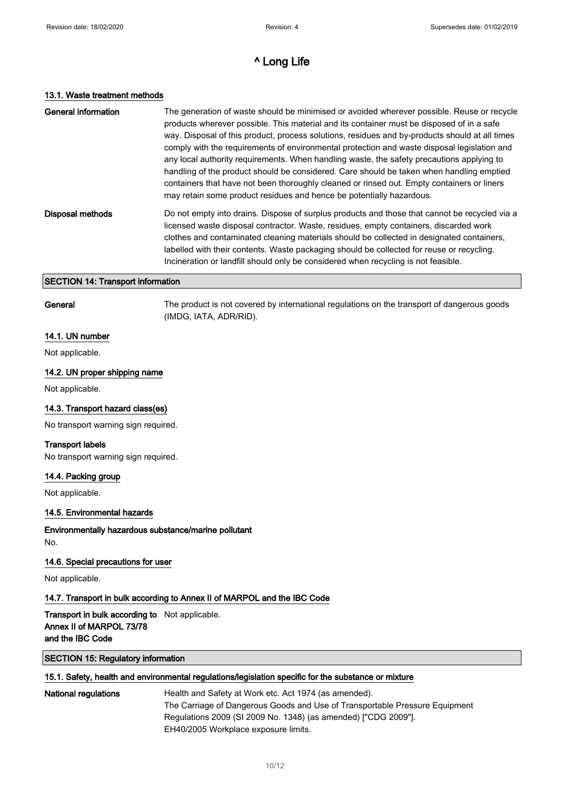#### 13.1. Waste treatment methods

| General information | The generation of waste should be minimised or avoided wherever possible. Reuse or recycle<br>products wherever possible. This material and its container must be disposed of in a safe<br>way. Disposal of this product, process solutions, residues and by-products should at all times<br>comply with the requirements of environmental protection and waste disposal legislation and<br>any local authority requirements. When handling waste, the safety precautions applying to<br>handling of the product should be considered. Care should be taken when handling emptied<br>containers that have not been thoroughly cleaned or rinsed out. Empty containers or liners<br>may retain some product residues and hence be potentially hazardous. |
|---------------------|---------------------------------------------------------------------------------------------------------------------------------------------------------------------------------------------------------------------------------------------------------------------------------------------------------------------------------------------------------------------------------------------------------------------------------------------------------------------------------------------------------------------------------------------------------------------------------------------------------------------------------------------------------------------------------------------------------------------------------------------------------|
| Disposal methods    | Do not empty into drains. Dispose of surplus products and those that cannot be recycled via a<br>licensed waste disposal contractor. Waste, residues, empty containers, discarded work<br>clothes and contaminated cleaning materials should be collected in designated containers,<br>labelled with their contents. Waste packaging should be collected for reuse or recycling.<br>Incineration or landfill should only be considered when recycling is not feasible.                                                                                                                                                                                                                                                                                  |
|                     |                                                                                                                                                                                                                                                                                                                                                                                                                                                                                                                                                                                                                                                                                                                                                         |

## SECTION 14: Transport information

General The product is not covered by international regulations on the transport of dangerous goods (IMDG, IATA, ADR/RID).

### 14.1. UN number

Not applicable.

#### 14.2. UN proper shipping name

Not applicable.

#### 14.3. Transport hazard class(es)

No transport warning sign required.

#### Transport labels

No transport warning sign required.

#### 14.4. Packing group

Not applicable.

## 14.5. Environmental hazards

# Environmentally hazardous substance/marine pollutant

No.

## 14.6. Special precautions for user

Not applicable.

#### 14.7. Transport in bulk according to Annex II of MARPOL and the IBC Code

Transport in bulk according to Not applicable. Annex II of MARPOL 73/78 and the IBC Code

## SECTION 15: Regulatory information

## 15.1. Safety, health and environmental regulations/legislation specific for the substance or mixture

| National regulations | Health and Safety at Work etc. Act 1974 (as amended).                       |
|----------------------|-----------------------------------------------------------------------------|
|                      | The Carriage of Dangerous Goods and Use of Transportable Pressure Equipment |
|                      | Regulations 2009 (SI 2009 No. 1348) (as amended) ["CDG 2009"].              |
|                      | EH40/2005 Workplace exposure limits.                                        |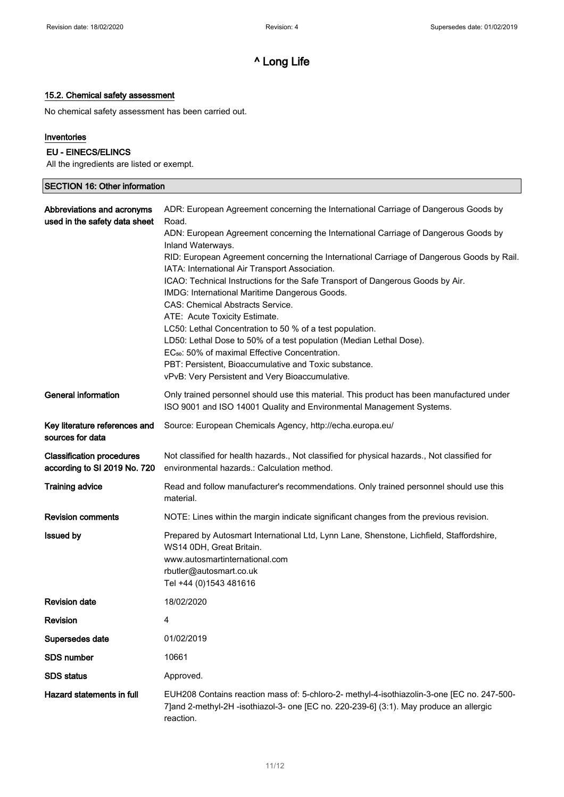$\overline{\mathbf{1}}$ 

# ^ Long Life

# 15.2. Chemical safety assessment

No chemical safety assessment has been carried out.

## Inventories

## EU - EINECS/ELINCS

All the ingredients are listed or exempt.

| <b>SECTION 16: Other information</b>                             |                                                                                                                                                                                                                                                                                                                                                                                                                                                                                                                                                                                                                                                                                                                                                                                                                                                                                     |
|------------------------------------------------------------------|-------------------------------------------------------------------------------------------------------------------------------------------------------------------------------------------------------------------------------------------------------------------------------------------------------------------------------------------------------------------------------------------------------------------------------------------------------------------------------------------------------------------------------------------------------------------------------------------------------------------------------------------------------------------------------------------------------------------------------------------------------------------------------------------------------------------------------------------------------------------------------------|
| Abbreviations and acronyms<br>used in the safety data sheet      | ADR: European Agreement concerning the International Carriage of Dangerous Goods by<br>Road.<br>ADN: European Agreement concerning the International Carriage of Dangerous Goods by<br>Inland Waterways.<br>RID: European Agreement concerning the International Carriage of Dangerous Goods by Rail.<br>IATA: International Air Transport Association.<br>ICAO: Technical Instructions for the Safe Transport of Dangerous Goods by Air.<br>IMDG: International Maritime Dangerous Goods.<br><b>CAS: Chemical Abstracts Service.</b><br>ATE: Acute Toxicity Estimate.<br>LC50: Lethal Concentration to 50 % of a test population.<br>LD50: Lethal Dose to 50% of a test population (Median Lethal Dose).<br>EC <sub>50</sub> : 50% of maximal Effective Concentration.<br>PBT: Persistent, Bioaccumulative and Toxic substance.<br>vPvB: Very Persistent and Very Bioaccumulative. |
| <b>General information</b>                                       | Only trained personnel should use this material. This product has been manufactured under<br>ISO 9001 and ISO 14001 Quality and Environmental Management Systems.                                                                                                                                                                                                                                                                                                                                                                                                                                                                                                                                                                                                                                                                                                                   |
| Key literature references and<br>sources for data                | Source: European Chemicals Agency, http://echa.europa.eu/                                                                                                                                                                                                                                                                                                                                                                                                                                                                                                                                                                                                                                                                                                                                                                                                                           |
| <b>Classification procedures</b><br>according to SI 2019 No. 720 | Not classified for health hazards., Not classified for physical hazards., Not classified for<br>environmental hazards.: Calculation method.                                                                                                                                                                                                                                                                                                                                                                                                                                                                                                                                                                                                                                                                                                                                         |
| <b>Training advice</b>                                           | Read and follow manufacturer's recommendations. Only trained personnel should use this<br>material.                                                                                                                                                                                                                                                                                                                                                                                                                                                                                                                                                                                                                                                                                                                                                                                 |
| <b>Revision comments</b>                                         | NOTE: Lines within the margin indicate significant changes from the previous revision.                                                                                                                                                                                                                                                                                                                                                                                                                                                                                                                                                                                                                                                                                                                                                                                              |
| <b>Issued by</b>                                                 | Prepared by Autosmart International Ltd, Lynn Lane, Shenstone, Lichfield, Staffordshire,<br>WS14 0DH, Great Britain.<br>www.autosmartinternational.com<br>rbutler@autosmart.co.uk<br>Tel +44 (0) 1543 481616                                                                                                                                                                                                                                                                                                                                                                                                                                                                                                                                                                                                                                                                        |
| <b>Revision date</b>                                             | 18/02/2020                                                                                                                                                                                                                                                                                                                                                                                                                                                                                                                                                                                                                                                                                                                                                                                                                                                                          |
| <b>Revision</b>                                                  | 4                                                                                                                                                                                                                                                                                                                                                                                                                                                                                                                                                                                                                                                                                                                                                                                                                                                                                   |
| Supersedes date                                                  | 01/02/2019                                                                                                                                                                                                                                                                                                                                                                                                                                                                                                                                                                                                                                                                                                                                                                                                                                                                          |
| <b>SDS number</b>                                                | 10661                                                                                                                                                                                                                                                                                                                                                                                                                                                                                                                                                                                                                                                                                                                                                                                                                                                                               |
| <b>SDS</b> status                                                | Approved.                                                                                                                                                                                                                                                                                                                                                                                                                                                                                                                                                                                                                                                                                                                                                                                                                                                                           |
| Hazard statements in full                                        | EUH208 Contains reaction mass of: 5-chloro-2- methyl-4-isothiazolin-3-one [EC no. 247-500-<br>7] and 2-methyl-2H -isothiazol-3- one [EC no. 220-239-6] (3:1). May produce an allergic<br>reaction.                                                                                                                                                                                                                                                                                                                                                                                                                                                                                                                                                                                                                                                                                  |